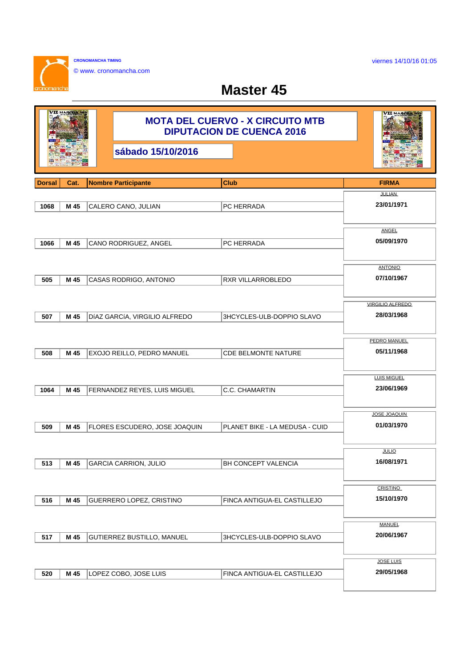viernes 14/10/16 01:05

**CRONOMANCHA TIMING** © www. cronomancha.com

**CONTINENT** 

anch

## **Master 45**

| VII малсиа    |      | <b>MOTA DEL CUERVO - X CIRCUITO MTB</b><br><b>DIPUTACION DE CUENCA 2016</b> | VII малсиа                     |                            |
|---------------|------|-----------------------------------------------------------------------------|--------------------------------|----------------------------|
|               |      | sábado 15/10/2016                                                           |                                |                            |
| <b>Dorsal</b> | Cat. | <b>Nombre Participante</b>                                                  | <b>Club</b>                    | <b>FIRMA</b>               |
|               |      |                                                                             |                                | <b>JULIAN</b>              |
| 1068          | M 45 | CALERO CANO, JULIAN                                                         | PC HERRADA                     | 23/01/1971                 |
|               |      |                                                                             |                                |                            |
| 1066          | M 45 | CANO RODRIGUEZ, ANGEL                                                       | PC HERRADA                     | <b>ANGEL</b><br>05/09/1970 |
|               |      |                                                                             |                                |                            |
|               |      |                                                                             |                                | <b>ANTONIO</b>             |
| 505           | M 45 | CASAS RODRIGO, ANTONIO                                                      | RXR VILLARROBLEDO              | 07/10/1967                 |
|               |      |                                                                             |                                |                            |
|               |      |                                                                             |                                | VIRGILIO ALFREDO           |
| 507           | M 45 | DÍAZ GARCÍA, VIRGILIO ALFREDO                                               | 3HCYCLES-ULB-DOPPIO SLAVO      | 28/03/1968                 |
|               |      |                                                                             |                                |                            |
|               |      |                                                                             |                                | PEDRO MANUEL<br>05/11/1968 |
| 508           | M 45 | EXOJO REILLO, PEDRO MANUEL                                                  | CDE BELMONTE NATURE            |                            |
|               |      |                                                                             |                                | <b>LUIS MIGUEL</b>         |
| 1064          | M 45 | FERNANDEZ REYES, LUIS MIGUEL                                                | C.C. CHAMARTIN                 | 23/06/1969                 |
|               |      |                                                                             |                                |                            |
|               |      |                                                                             |                                | <b>JOSE JOAQUIN</b>        |
| 509           | M 45 | FLORES ESCUDERO, JOSE JOAQUIN                                               | PLANET BIKE - LA MEDUSA - CUID | 01/03/1970                 |
|               |      |                                                                             |                                |                            |
|               |      |                                                                             |                                | <b>JULIO</b>               |
| 513           | M 45 | <b>GARCIA CARRION, JULIO</b>                                                | BH CONCEPT VALENCIA            | 16/08/1971                 |
|               |      |                                                                             |                                | <b>CRISTINO</b>            |
| 516           | M 45 | GUERRERO LOPEZ, CRISTINO                                                    | FINCA ANTIGUA-EL CASTILLEJO    | 15/10/1970                 |
|               |      |                                                                             |                                |                            |
|               |      |                                                                             |                                | <b>MANUEL</b>              |
| 517           | M 45 | GUTIERREZ BUSTILLO, MANUEL                                                  | 3HCYCLES-ULB-DOPPIO SLAVO      | 20/06/1967                 |
|               |      |                                                                             |                                |                            |
|               |      |                                                                             |                                | <b>JOSE LUIS</b>           |
| 520           | M 45 | LOPEZ COBO, JOSE LUIS                                                       | FINCA ANTIGUA-EL CASTILLEJO    | 29/05/1968                 |
|               |      |                                                                             |                                |                            |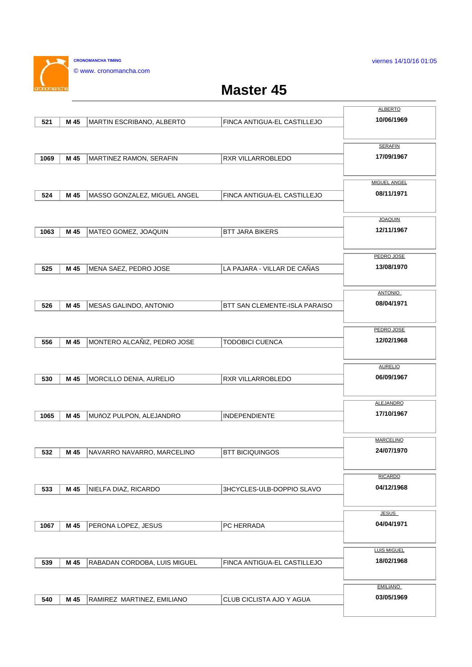viernes 14/10/16 01:05

**CRONOMANCHA TIMING** © www. cronomancha.com

 $\mathbf{r}$ 

## **Master 45**

|      |      |                              |                                      | <b>ALBERTO</b>               |
|------|------|------------------------------|--------------------------------------|------------------------------|
| 521  | M 45 | MARTIN ESCRIBANO, ALBERTO    | FINCA ANTIGUA-EL CASTILLEJO          | 10/06/1969                   |
|      |      |                              |                                      |                              |
|      |      |                              |                                      | <b>SERAFIN</b>               |
| 1069 | M 45 | MARTINEZ RAMON, SERAFIN      | RXR VILLARROBLEDO                    | 17/09/1967                   |
|      |      |                              |                                      |                              |
|      |      |                              |                                      | <b>MIGUEL ANGEL</b>          |
| 524  | M 45 | MASSO GONZALEZ, MIGUEL ANGEL | FINCA ANTIGUA-EL CASTILLEJO          | 08/11/1971                   |
|      |      |                              |                                      |                              |
|      |      |                              |                                      |                              |
|      |      |                              |                                      | <b>JOAQUIN</b><br>12/11/1967 |
| 1063 | M 45 | MATEO GOMEZ, JOAQUIN         | <b>BTT JARA BIKERS</b>               |                              |
|      |      |                              |                                      |                              |
|      |      |                              |                                      | PEDRO JOSE                   |
| 525  | M 45 | MENA SAEZ, PEDRO JOSE        | LA PAJARA - VILLAR DE CAÑAS          | 13/08/1970                   |
|      |      |                              |                                      |                              |
|      |      |                              |                                      | <b>ANTONIO</b>               |
| 526  | M 45 | MESAS GALINDO, ANTONIO       | <b>BTT SAN CLEMENTE-ISLA PARAISO</b> | 08/04/1971                   |
|      |      |                              |                                      |                              |
|      |      |                              |                                      | PEDRO JOSE                   |
| 556  | M 45 | MONTERO ALCAÑIZ, PEDRO JOSE  | <b>TODOBICI CUENCA</b>               | 12/02/1968                   |
|      |      |                              |                                      |                              |
|      |      |                              |                                      | <b>AURELIO</b>               |
| 530  | M 45 | MORCILLO DENIA, AURELIO      | RXR VILLARROBLEDO                    | 06/09/1967                   |
|      |      |                              |                                      |                              |
|      |      |                              |                                      | <b>ALEJANDRO</b>             |
| 1065 | M 45 | MUñOZ PULPON, ALEJANDRO      | <b>INDEPENDIENTE</b>                 | 17/10/1967                   |
|      |      |                              |                                      |                              |
|      |      |                              |                                      | <b>MARCELINO</b>             |
|      |      |                              |                                      | 24/07/1970                   |
| 532  | M 45 | NAVARRO NAVARRO, MARCELINO   | <b>BTT BICIQUINGOS</b>               |                              |
|      |      |                              |                                      |                              |
|      |      |                              |                                      | <b>RICARDO</b>               |
| 533  | M 45 | NIELFA DIAZ, RICARDO         | 3HCYCLES-ULB-DOPPIO SLAVO            | 04/12/1968                   |
|      |      |                              |                                      |                              |
|      |      |                              |                                      | <b>JESUS</b>                 |
| 1067 | M 45 | PERONA LOPEZ, JESUS          | PC HERRADA                           | 04/04/1971                   |
|      |      |                              |                                      |                              |
|      |      |                              |                                      | <b>LUIS MIGUEL</b>           |
| 539  | M 45 | RABADAN CORDOBA, LUIS MIGUEL | FINCA ANTIGUA-EL CASTILLEJO          | 18/02/1968                   |
|      |      |                              |                                      |                              |
|      |      |                              |                                      | <b>EMILIANO</b>              |
| 540  | M 45 | RAMIREZ MARTINEZ, EMILIANO   | CLUB CICLISTA AJO Y AGUA             | 03/05/1969                   |
|      |      |                              |                                      |                              |